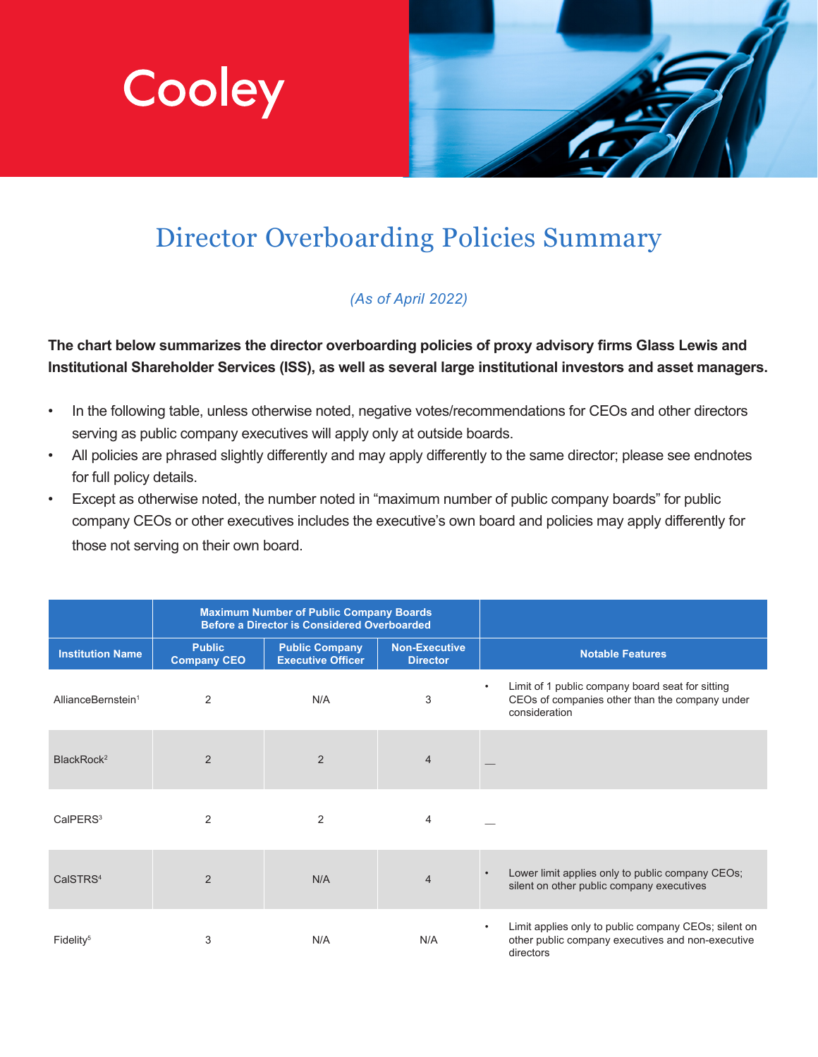



# Director Overboarding Policies Summary

# *(As of April 2022)*

**The chart below summarizes the director overboarding policies of proxy advisory firms Glass Lewis and Institutional Shareholder Services (ISS), as well as several large institutional investors and asset managers.**

- In the following table, unless otherwise noted, negative votes/recommendations for CEOs and other directors serving as public company executives will apply only at outside boards.
- All policies are phrased slightly differently and may apply differently to the same director; please see endnotes for full policy details.
- Except as otherwise noted, the number noted in "maximum number of public company boards" for public company CEOs or other executives includes the executive's own board and policies may apply differently for those not serving on their own board.

|                                | <b>Maximum Number of Public Company Boards</b><br><b>Before a Director is Considered Overboarded</b> |                                                   |                                         |                                                                                                                                     |
|--------------------------------|------------------------------------------------------------------------------------------------------|---------------------------------------------------|-----------------------------------------|-------------------------------------------------------------------------------------------------------------------------------------|
| <b>Institution Name</b>        | <b>Public</b><br><b>Company CEO</b>                                                                  | <b>Public Company</b><br><b>Executive Officer</b> | <b>Non-Executive</b><br><b>Director</b> | <b>Notable Features</b>                                                                                                             |
| AllianceBernstein <sup>1</sup> | 2                                                                                                    | N/A                                               | 3                                       | Limit of 1 public company board seat for sitting<br>$\bullet$<br>CEOs of companies other than the company under<br>consideration    |
| BlackRock <sup>2</sup>         | $\overline{2}$                                                                                       | 2                                                 | $\overline{4}$                          |                                                                                                                                     |
| CaIPERS <sup>3</sup>           | 2                                                                                                    | 2                                                 | $\overline{4}$                          |                                                                                                                                     |
| CalSTRS <sup>4</sup>           | 2                                                                                                    | N/A                                               | $\overline{4}$                          | Lower limit applies only to public company CEOs;<br>$\bullet$<br>silent on other public company executives                          |
| Fidelity <sup>5</sup>          | 3                                                                                                    | N/A                                               | N/A                                     | Limit applies only to public company CEOs; silent on<br>$\bullet$<br>other public company executives and non-executive<br>directors |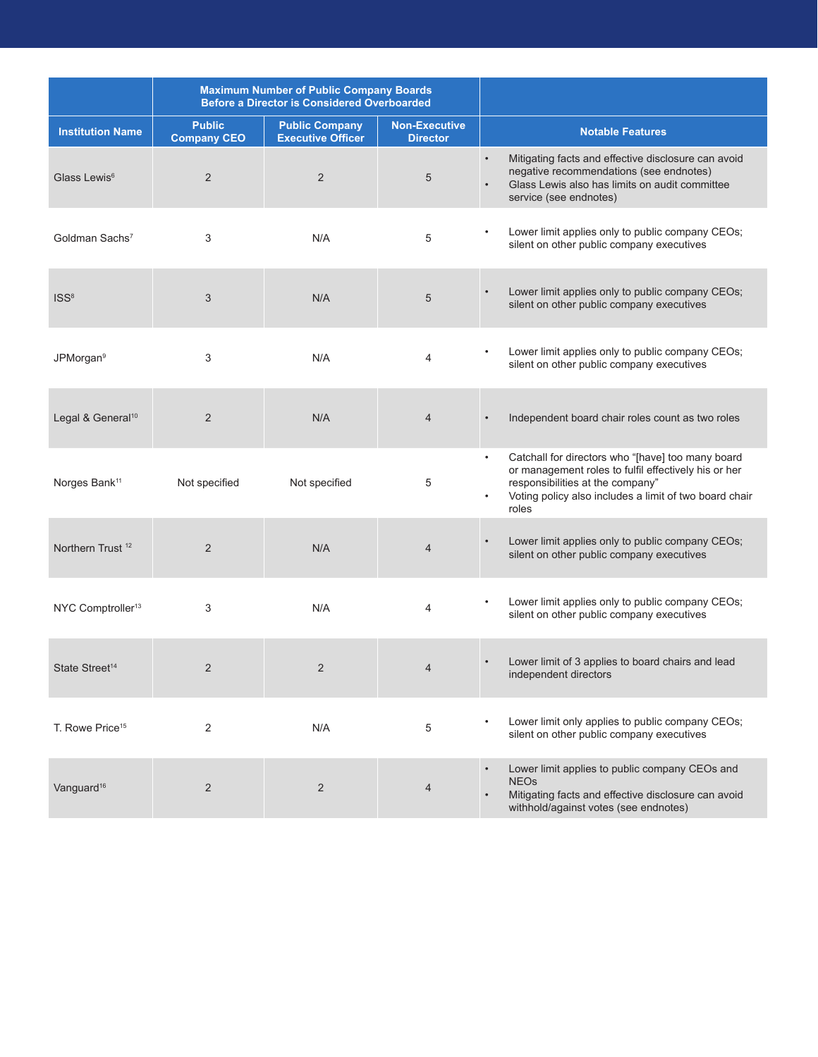|                               | <b>Maximum Number of Public Company Boards</b><br><b>Before a Director is Considered Overboarded</b> |                                                   |                                         |                                                                                                                                                                                                                                            |
|-------------------------------|------------------------------------------------------------------------------------------------------|---------------------------------------------------|-----------------------------------------|--------------------------------------------------------------------------------------------------------------------------------------------------------------------------------------------------------------------------------------------|
| <b>Institution Name</b>       | <b>Public</b><br><b>Company CEO</b>                                                                  | <b>Public Company</b><br><b>Executive Officer</b> | <b>Non-Executive</b><br><b>Director</b> | <b>Notable Features</b>                                                                                                                                                                                                                    |
| Glass Lewis <sup>6</sup>      | $\overline{2}$                                                                                       | $\overline{2}$                                    | 5                                       | Mitigating facts and effective disclosure can avoid<br>$\bullet$<br>negative recommendations (see endnotes)<br>Glass Lewis also has limits on audit committee<br>service (see endnotes)                                                    |
| Goldman Sachs <sup>7</sup>    | 3                                                                                                    | N/A                                               | 5                                       | Lower limit applies only to public company CEOs;<br>silent on other public company executives                                                                                                                                              |
| ISS <sup>8</sup>              | 3                                                                                                    | N/A                                               | 5                                       | Lower limit applies only to public company CEOs;<br>silent on other public company executives                                                                                                                                              |
| JPMorgan <sup>9</sup>         | 3                                                                                                    | N/A                                               | 4                                       | Lower limit applies only to public company CEOs;<br>$\bullet$<br>silent on other public company executives                                                                                                                                 |
| Legal & General <sup>10</sup> | $\overline{2}$                                                                                       | N/A                                               | $\overline{4}$                          | Independent board chair roles count as two roles                                                                                                                                                                                           |
| Norges Bank <sup>11</sup>     | Not specified                                                                                        | Not specified                                     | 5                                       | Catchall for directors who "[have] too many board<br>$\bullet$<br>or management roles to fulfil effectively his or her<br>responsibilities at the company"<br>Voting policy also includes a limit of two board chair<br>$\bullet$<br>roles |
| Northern Trust <sup>12</sup>  | $\overline{2}$                                                                                       | N/A                                               | $\overline{4}$                          | Lower limit applies only to public company CEOs;<br>silent on other public company executives                                                                                                                                              |
| NYC Comptroller <sup>13</sup> | 3                                                                                                    | N/A                                               | 4                                       | Lower limit applies only to public company CEOs;<br>silent on other public company executives                                                                                                                                              |
| State Street <sup>14</sup>    | $\overline{2}$                                                                                       | $\overline{2}$                                    | 4                                       | Lower limit of 3 applies to board chairs and lead<br>independent directors                                                                                                                                                                 |
| T. Rowe Price <sup>15</sup>   | 2                                                                                                    | N/A                                               | 5                                       | Lower limit only applies to public company CEOs;<br>silent on other public company executives                                                                                                                                              |
| Vanguard <sup>16</sup>        | 2                                                                                                    | $\overline{2}$                                    | $\overline{4}$                          | Lower limit applies to public company CEOs and<br><b>NEOs</b><br>Mitigating facts and effective disclosure can avoid<br>withhold/against votes (see endnotes)                                                                              |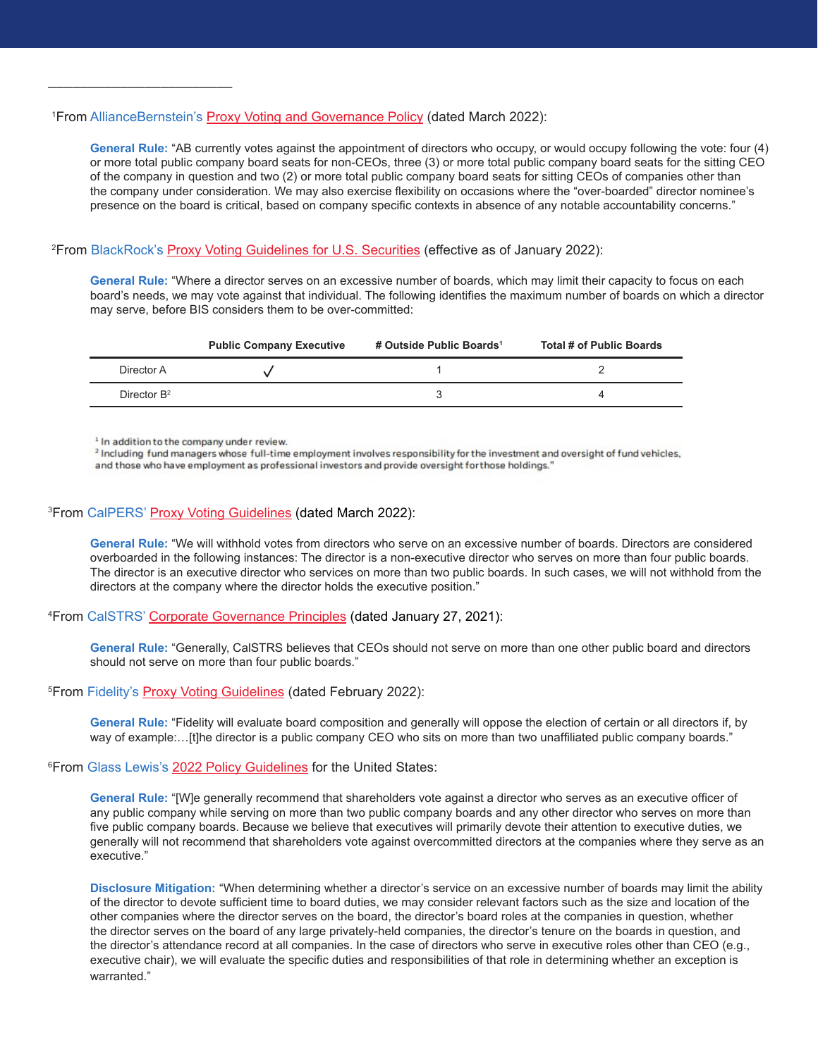#### <sup>1</sup> From AllianceBernstein's <u>[Proxy Voting and Governance Policy](https://www.alliancebernstein.com/content/dam/corporate/corporate-pdfs/AB-Proxy-Voting-and-Governance-Policy.pdf)</u> (dated March 2022):

**General Rule:** "AB currently votes against the appointment of directors who occupy, or would occupy following the vote: four (4) or more total public company board seats for non-CEOs, three (3) or more total public company board seats for the sitting CEO of the company in question and two (2) or more total public company board seats for sitting CEOs of companies other than the company under consideration. We may also exercise flexibility on occasions where the "over-boarded" director nominee's presence on the board is critical, based on company specific contexts in absence of any notable accountability concerns."

# <sup>2</sup>From BlackRock's <u>Proxy Voting Guidelines for U.S. Securities</u> (effective as of January 2022):

**General Rule:** "Where a director serves on an excessive number of boards, which may limit their capacity to focus on each board's needs, we may vote against that individual. The following identifies the maximum number of boards on which a director may serve, before BIS considers them to be over-committed:

|                | <b>Public Company Executive</b> | # Outside Public Boards <sup>1</sup> | Total # of Public Boards |
|----------------|---------------------------------|--------------------------------------|--------------------------|
| Director A     |                                 |                                      |                          |
| Director $B^2$ |                                 |                                      |                          |

<sup>1</sup> In addition to the company under review.

\_\_\_\_\_\_\_\_\_\_\_\_\_\_\_\_\_\_\_\_\_\_\_

<sup>2</sup> Including fund managers whose full-time employment involves responsibility for the investment and oversight of fund vehicles, and those who have employment as professional investors and provide oversight for those holdings."

# <sup>3</sup>From CalPERS' <u>[Proxy Voting Guidelines](https://www.calpers.ca.gov/docs/proxy-voting-guidelines.pdf)</u> (dated March 2022):

**General Rule:** "We will withhold votes from directors who serve on an excessive number of boards. Directors are considered overboarded in the following instances: The director is a non-executive director who serves on more than four public boards. The director is an executive director who services on more than two public boards. In such cases, we will not withhold from the directors at the company where the director holds the executive position."

#### 4 From CalSTRS' [Corporate Governance Principles](https://www.calstrs.com/files/885d7b73b/corporate_governance_principles_1.pdf) (dated January 27, 2021):

**General Rule:** "Generally, CalSTRS believes that CEOs should not serve on more than one other public board and directors should not serve on more than four public boards."

<sup>5</sup>From Fidelity's <u>[Proxy Voting Guidelines](https://www.fidelity.com/bin-public/060_www_fidelity_com/documents/Full-Proxy-Voting-Guidelines-for-Fidelity-Funds-Advised-by-FMRCo-and-SelectCo.pdf)</u> (dated February 2022):

**General Rule:** "Fidelity will evaluate board composition and generally will oppose the election of certain or all directors if, by way of example:...[t]he director is a public company CEO who sits on more than two unaffiliated public company boards."

# <sup>6</sup> From Glass Lewis's [2022 Policy Guidelines](https://www.glasslewis.com/wp-content/uploads/2021/11/US-Voting-Guidelines-US-GL-2022.pdf?hsCtaTracking=257fcf1c-f11e-4835-81a3-d13fbc7b1f4c%7C1dad2378-213f-45f6-8509-788274627609) for the United States:

**General Rule:** "[W]e generally recommend that shareholders vote against a director who serves as an executive officer of any public company while serving on more than two public company boards and any other director who serves on more than five public company boards. Because we believe that executives will primarily devote their attention to executive duties, we generally will not recommend that shareholders vote against overcommitted directors at the companies where they serve as an executive."

**Disclosure Mitigation:** "When determining whether a director's service on an excessive number of boards may limit the ability of the director to devote sufficient time to board duties, we may consider relevant factors such as the size and location of the other companies where the director serves on the board, the director's board roles at the companies in question, whether the director serves on the board of any large privately-held companies, the director's tenure on the boards in question, and the director's attendance record at all companies. In the case of directors who serve in executive roles other than CEO (e.g., executive chair), we will evaluate the specific duties and responsibilities of that role in determining whether an exception is warranted."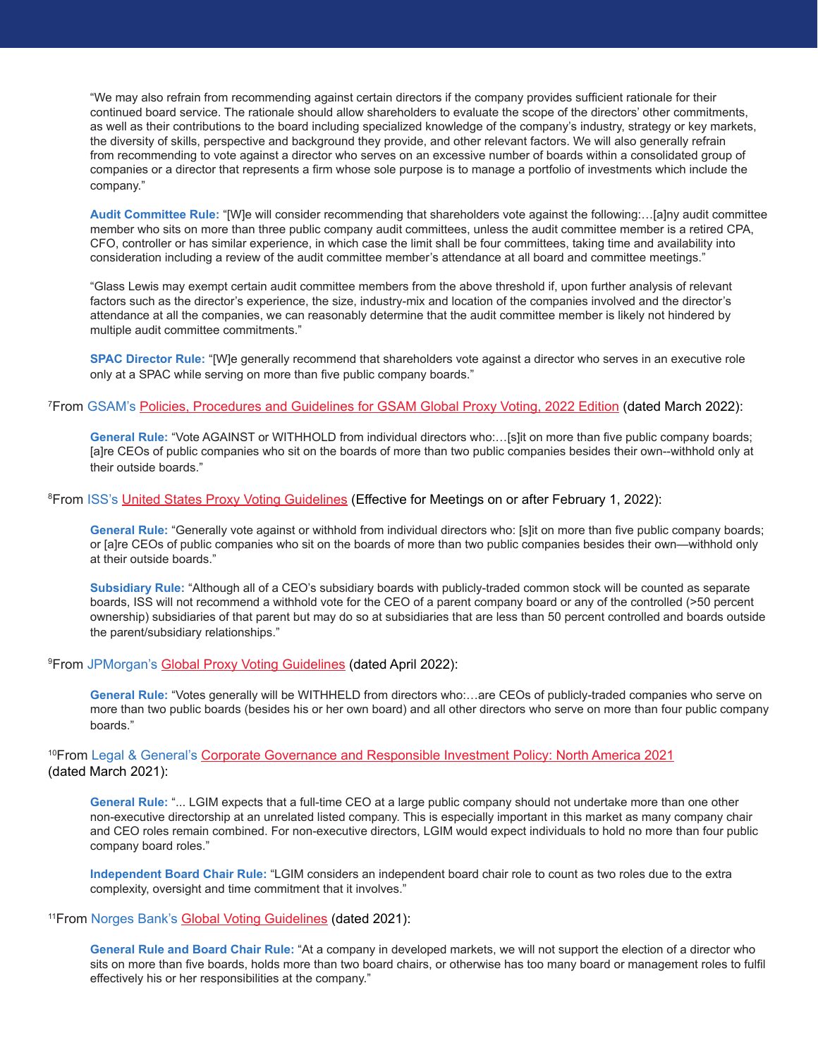"We may also refrain from recommending against certain directors if the company provides sufficient rationale for their continued board service. The rationale should allow shareholders to evaluate the scope of the directors' other commitments, as well as their contributions to the board including specialized knowledge of the company's industry, strategy or key markets, the diversity of skills, perspective and background they provide, and other relevant factors. We will also generally refrain from recommending to vote against a director who serves on an excessive number of boards within a consolidated group of companies or a director that represents a firm whose sole purpose is to manage a portfolio of investments which include the company."

**Audit Committee Rule:** "[W]e will consider recommending that shareholders vote against the following:…[a]ny audit committee member who sits on more than three public company audit committees, unless the audit committee member is a retired CPA, CFO, controller or has similar experience, in which case the limit shall be four committees, taking time and availability into consideration including a review of the audit committee member's attendance at all board and committee meetings."

"Glass Lewis may exempt certain audit committee members from the above threshold if, upon further analysis of relevant factors such as the director's experience, the size, industry-mix and location of the companies involved and the director's attendance at all the companies, we can reasonably determine that the audit committee member is likely not hindered by multiple audit committee commitments."

**SPAC Director Rule:** "[W]e generally recommend that shareholders vote against a director who serves in an executive role only at a SPAC while serving on more than five public company boards."

#### <sup>7</sup>From GSAM's <u>[Policies, Procedures and Guidelines for GSAM Global Proxy Voting, 2022 Edition](https://www.gsam.com/content/dam/gsam/pdfs/us/en/miscellaneous/voting_proxy_policy.pdf?sa=n&rd=n)</u> (dated March 2022):

**General Rule:** "Vote AGAINST or WITHHOLD from individual directors who:…[s]it on more than five public company boards; [a]re CEOs of public companies who sit on the boards of more than two public companies besides their own--withhold only at their outside boards."

#### <sup>8</sup>From ISS's <u>United States Proxy Voting Guidelines</u> (Effective for Meetings on or after February 1, 2022):

**General Rule:** "Generally vote against or withhold from individual directors who: [s]it on more than five public company boards; or [a]re CEOs of public companies who sit on the boards of more than two public companies besides their own—withhold only at their outside boards."

**Subsidiary Rule:** "Although all of a CEO's subsidiary boards with publicly-traded common stock will be counted as separate boards, ISS will not recommend a withhold vote for the CEO of a parent company board or any of the controlled (>50 percent ownership) subsidiaries of that parent but may do so at subsidiaries that are less than 50 percent controlled and boards outside the parent/subsidiary relationships."

#### <sup>9</sup> From JPMorgan's [Global Proxy Voting Guidelines](https://am.jpmorgan.com/content/dam/jpm-am-aem/global/en/institutional/communications/lux-communication/corporate-governance-principles-and-voting-guidelines.pdf) (dated April 2022):

**General Rule:** "Votes generally will be WITHHELD from directors who:…are CEOs of publicly-traded companies who serve on more than two public boards (besides his or her own board) and all other directors who serve on more than four public company boards."

# <sup>10</sup>From Legal & General's [Corporate Governance and Responsible Investment Policy: North America 2021](https://www.lgim.com/landg-assets/lgim/_document-library/capabilities/lgim-north-america-corporate-governance-and-responsible-investment-policy.pdf) (dated March 2021):

**General Rule:** "... LGIM expects that a full-time CEO at a large public company should not undertake more than one other non-executive directorship at an unrelated listed company. This is especially important in this market as many company chair and CEO roles remain combined. For non-executive directors, LGIM would expect individuals to hold no more than four public company board roles."

**Independent Board Chair Rule:** "LGIM considers an independent board chair role to count as two roles due to the extra complexity, oversight and time commitment that it involves."

#### <sup>11</sup> From Norges Bank's [Global Voting Guidelines](https://www.nbim.no/contentassets/1059e60479784796bac26e0cee596613/global-voting-guidelines-2021.pdf) (dated 2021):

**General Rule and Board Chair Rule:** "At a company in developed markets, we will not support the election of a director who sits on more than five boards, holds more than two board chairs, or otherwise has too many board or management roles to fulfil effectively his or her responsibilities at the company."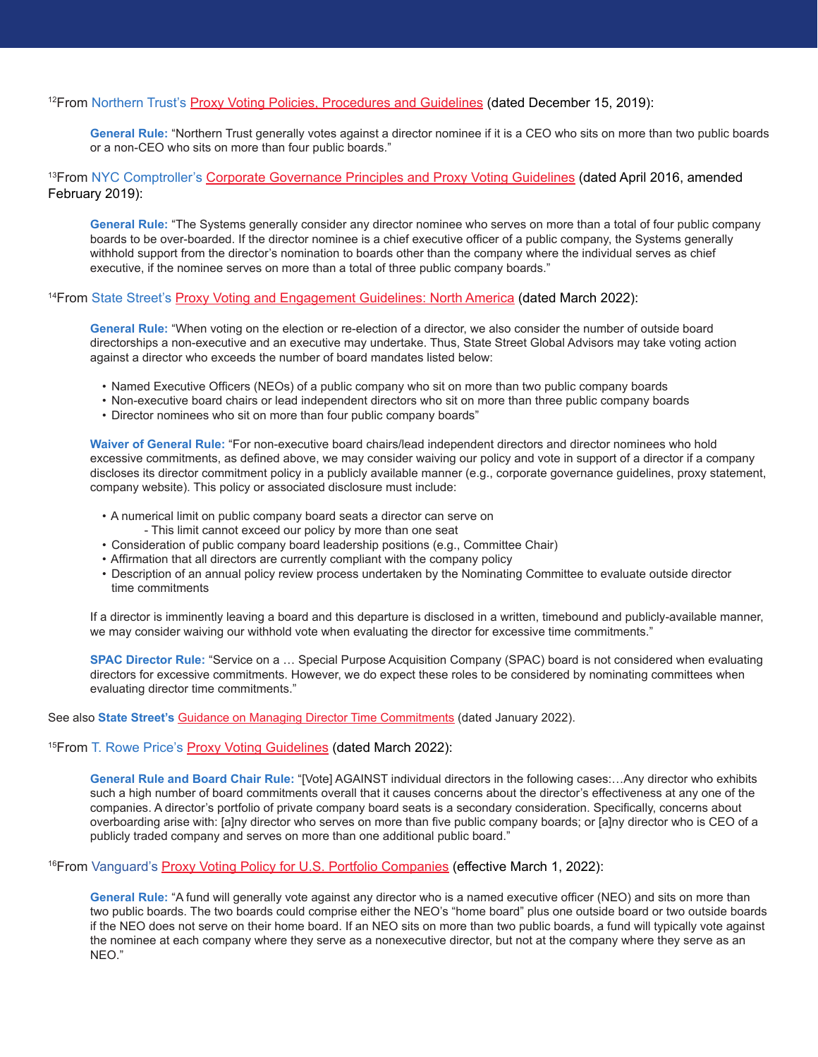# 12From Northern Trust's [Proxy Voting Policies, Procedures and Guidelines](https://cdn.northerntrust.com/pws/nt/documents/fact-sheets/mutual-funds/institutional/nt_proxypolicy.pdf?bc=25782798) (dated December 15, 2019):

**General Rule:** "Northern Trust generally votes against a director nominee if it is a CEO who sits on more than two public boards or a non-CEO who sits on more than four public boards."

13From NYC Comptroller's [Corporate Governance Principles and Proxy Voting Guidelines](https://comptroller.nyc.gov/wp-content/uploads/documents/NYCRS-Corporate-Governance-Principles-and-Proxy-Voting-Guidelines_2019-Revised-February-2019.pdf) (dated April 2016, amended February 2019):

**General Rule:** "The Systems generally consider any director nominee who serves on more than a total of four public company boards to be over-boarded. If the director nominee is a chief executive officer of a public company, the Systems generally withhold support from the director's nomination to boards other than the company where the individual serves as chief executive, if the nominee serves on more than a total of three public company boards."

#### 14From State Street's [Proxy Voting and Engagement Guidelines: North America](https://www.ssga.com/library-content/pdfs/ic/proxy-voting-and-engagement-guidelines-us-canada.pdf) (dated March 2022):

**General Rule:** "When voting on the election or re-election of a director, we also consider the number of outside board directorships a non-executive and an executive may undertake. Thus, State Street Global Advisors may take voting action against a director who exceeds the number of board mandates listed below:

- Named Executive Officers (NEOs) of a public company who sit on more than two public company boards
- Non-executive board chairs or lead independent directors who sit on more than three public company boards
- Director nominees who sit on more than four public company boards"

**Waiver of General Rule:** "For non-executive board chairs/lead independent directors and director nominees who hold excessive commitments, as defined above, we may consider waiving our policy and vote in support of a director if a company discloses its director commitment policy in a publicly available manner (e.g., corporate governance guidelines, proxy statement, company website). This policy or associated disclosure must include:

- A numerical limit on public company board seats a director can serve on - This limit cannot exceed our policy by more than one seat
- Consideration of public company board leadership positions (e.g., Committee Chair)
- Affirmation that all directors are currently compliant with the company policy
- Description of an annual policy review process undertaken by the Nominating Committee to evaluate outside director time commitments

If a director is imminently leaving a board and this departure is disclosed in a written, timebound and publicly-available manner, we may consider waiving our withhold vote when evaluating the director for excessive time commitments."

**SPAC Director Rule:** "Service on a … Special Purpose Acquisition Company (SPAC) board is not considered when evaluating directors for excessive commitments. However, we do expect these roles to be considered by nominating committees when evaluating director time commitments."

See also **State Street's** [Guidance on Managing Director Time Commitments](https://www.ssga.com/library-content/pdfs/insights/the-boards-oversight-of-director-time-commitments.pdf) (dated January 2022).

#### <sup>15</sup>From [T. Rowe Price's Proxy Voting Guidelines](https://www.troweprice.com/content/dam/trowecorp/Pdfs/proxy-voting-guidelines-TRPA.pdf) (dated March 2022):

**General Rule and Board Chair Rule:** "[Vote] AGAINST individual directors in the following cases:…Any director who exhibits such a high number of board commitments overall that it causes concerns about the director's effectiveness at any one of the companies. A director's portfolio of private company board seats is a secondary consideration. Specifically, concerns about overboarding arise with: [a]ny director who serves on more than five public company boards; or [a]ny director who is CEO of a publicly traded company and serves on more than one additional public board."

#### 16From Vanguard's [Proxy Voting Policy for U.S. Portfolio Companies](https://corporate.vanguard.com/content/dam/corp/advocate/investment-stewardship/pdf/policies-and-reports/US_Proxy_Voting.pdf) (effective March 1, 2022):

**General Rule:** "A fund will generally vote against any director who is a named executive officer (NEO) and sits on more than two public boards. The two boards could comprise either the NEO's "home board" plus one outside board or two outside boards if the NEO does not serve on their home board. If an NEO sits on more than two public boards, a fund will typically vote against the nominee at each company where they serve as a nonexecutive director, but not at the company where they serve as an NEO."